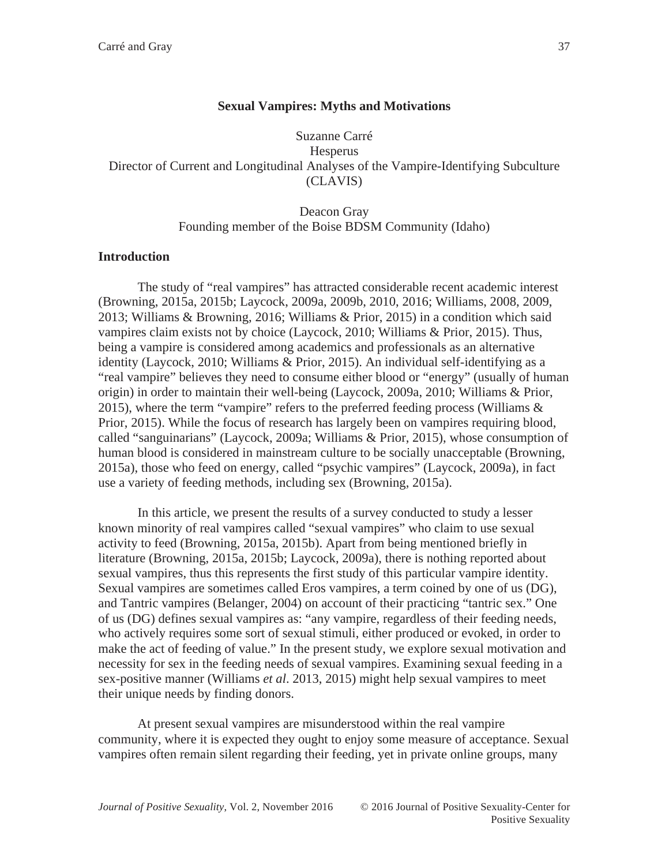# **Sexual Vampires: Myths and Motivations**

Suzanne Carré **Hesperus** Director of Current and Longitudinal Analyses of the Vampire-Identifying Subculture (CLAVIS)

# Deacon Gray Founding member of the Boise BDSM Community (Idaho)

### **Introduction**

The study of "real vampires" has attracted considerable recent academic interest (Browning, 2015a, 2015b; Laycock, 2009a, 2009b, 2010, 2016; Williams, 2008, 2009, 2013; Williams & Browning, 2016; Williams & Prior, 2015) in a condition which said vampires claim exists not by choice (Laycock, 2010; Williams & Prior, 2015). Thus, being a vampire is considered among academics and professionals as an alternative identity (Laycock, 2010; Williams & Prior, 2015). An individual self-identifying as a "real vampire" believes they need to consume either blood or "energy" (usually of human origin) in order to maintain their well-being (Laycock, 2009a, 2010; Williams & Prior, 2015), where the term "vampire" refers to the preferred feeding process (Williams & Prior, 2015). While the focus of research has largely been on vampires requiring blood, called "sanguinarians" (Laycock, 2009a; Williams & Prior, 2015), whose consumption of human blood is considered in mainstream culture to be socially unacceptable (Browning, 2015a), those who feed on energy, called "psychic vampires" (Laycock, 2009a), in fact use a variety of feeding methods, including sex (Browning, 2015a).

In this article, we present the results of a survey conducted to study a lesser known minority of real vampires called "sexual vampires" who claim to use sexual activity to feed (Browning, 2015a, 2015b). Apart from being mentioned briefly in literature (Browning, 2015a, 2015b; Laycock, 2009a), there is nothing reported about sexual vampires, thus this represents the first study of this particular vampire identity. Sexual vampires are sometimes called Eros vampires, a term coined by one of us (DG), and Tantric vampires (Belanger, 2004) on account of their practicing "tantric sex." One of us (DG) defines sexual vampires as: "any vampire, regardless of their feeding needs, who actively requires some sort of sexual stimuli, either produced or evoked, in order to make the act of feeding of value." In the present study, we explore sexual motivation and necessity for sex in the feeding needs of sexual vampires. Examining sexual feeding in a sex-positive manner (Williams *et al*. 2013, 2015) might help sexual vampires to meet their unique needs by finding donors.

At present sexual vampires are misunderstood within the real vampire community, where it is expected they ought to enjoy some measure of acceptance. Sexual vampires often remain silent regarding their feeding, yet in private online groups, many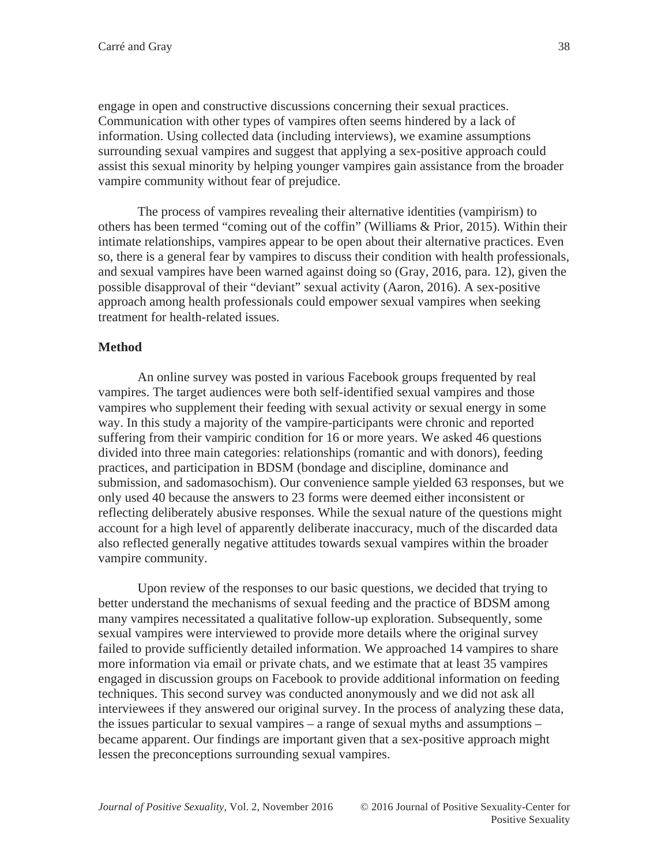engage in open and constructive discussions concerning their sexual practices. Communication with other types of vampires often seems hindered by a lack of information. Using collected data (including interviews), we examine assumptions surrounding sexual vampires and suggest that applying a sex-positive approach could assist this sexual minority by helping younger vampires gain assistance from the broader vampire community without fear of prejudice.

The process of vampires revealing their alternative identities (vampirism) to others has been termed "coming out of the coffin" (Williams & Prior, 2015). Within their intimate relationships, vampires appear to be open about their alternative practices. Even so, there is a general fear by vampires to discuss their condition with health professionals, and sexual vampires have been warned against doing so (Gray, 2016, para. 12), given the possible disapproval of their "deviant" sexual activity (Aaron, 2016). A sex-positive approach among health professionals could empower sexual vampires when seeking treatment for health-related issues.

# **Method**

An online survey was posted in various Facebook groups frequented by real vampires. The target audiences were both self-identified sexual vampires and those vampires who supplement their feeding with sexual activity or sexual energy in some way. In this study a majority of the vampire-participants were chronic and reported suffering from their vampiric condition for 16 or more years. We asked 46 questions divided into three main categories: relationships (romantic and with donors), feeding practices, and participation in BDSM (bondage and discipline, dominance and submission, and sadomasochism). Our convenience sample yielded 63 responses, but we only used 40 because the answers to 23 forms were deemed either inconsistent or reflecting deliberately abusive responses. While the sexual nature of the questions might account for a high level of apparently deliberate inaccuracy, much of the discarded data also reflected generally negative attitudes towards sexual vampires within the broader vampire community.

Upon review of the responses to our basic questions, we decided that trying to better understand the mechanisms of sexual feeding and the practice of BDSM among many vampires necessitated a qualitative follow-up exploration. Subsequently, some sexual vampires were interviewed to provide more details where the original survey failed to provide sufficiently detailed information. We approached 14 vampires to share more information via email or private chats, and we estimate that at least 35 vampires engaged in discussion groups on Facebook to provide additional information on feeding techniques. This second survey was conducted anonymously and we did not ask all interviewees if they answered our original survey. In the process of analyzing these data, the issues particular to sexual vampires – a range of sexual myths and assumptions – became apparent. Our findings are important given that a sex-positive approach might lessen the preconceptions surrounding sexual vampires.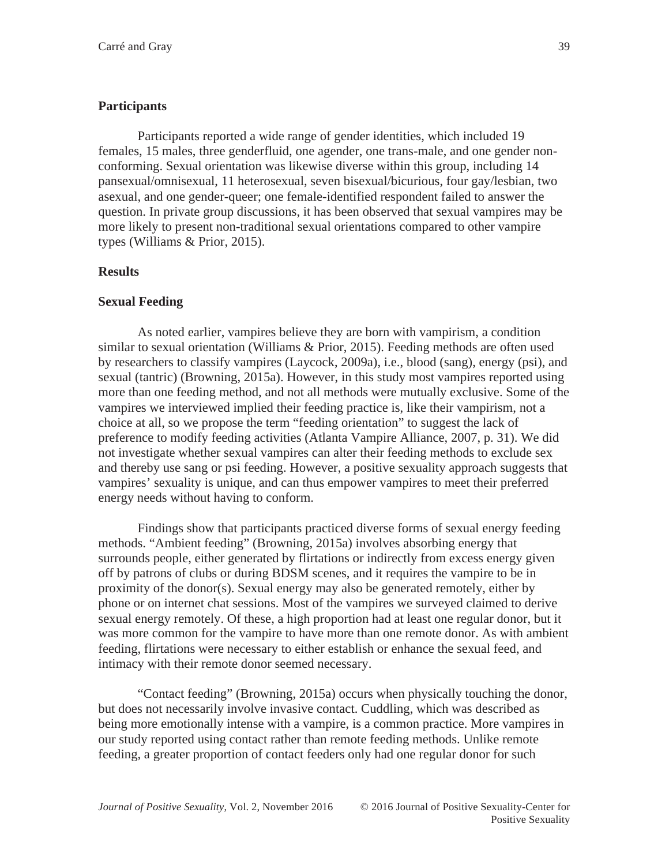### **Participants**

Participants reported a wide range of gender identities, which included 19 females, 15 males, three genderfluid, one agender, one trans-male, and one gender nonconforming. Sexual orientation was likewise diverse within this group, including 14 pansexual/omnisexual, 11 heterosexual, seven bisexual/bicurious, four gay/lesbian, two asexual, and one gender-queer; one female-identified respondent failed to answer the question. In private group discussions, it has been observed that sexual vampires may be more likely to present non-traditional sexual orientations compared to other vampire types (Williams & Prior, 2015).

### **Results**

#### **Sexual Feeding**

As noted earlier, vampires believe they are born with vampirism, a condition similar to sexual orientation (Williams & Prior, 2015). Feeding methods are often used by researchers to classify vampires (Laycock, 2009a), i.e., blood (sang), energy (psi), and sexual (tantric) (Browning, 2015a). However, in this study most vampires reported using more than one feeding method, and not all methods were mutually exclusive. Some of the vampires we interviewed implied their feeding practice is, like their vampirism, not a choice at all, so we propose the term "feeding orientation" to suggest the lack of preference to modify feeding activities (Atlanta Vampire Alliance, 2007, p. 31). We did not investigate whether sexual vampires can alter their feeding methods to exclude sex and thereby use sang or psi feeding. However, a positive sexuality approach suggests that vampires' sexuality is unique, and can thus empower vampires to meet their preferred energy needs without having to conform.

Findings show that participants practiced diverse forms of sexual energy feeding methods. "Ambient feeding" (Browning, 2015a) involves absorbing energy that surrounds people, either generated by flirtations or indirectly from excess energy given off by patrons of clubs or during BDSM scenes, and it requires the vampire to be in proximity of the donor(s). Sexual energy may also be generated remotely, either by phone or on internet chat sessions. Most of the vampires we surveyed claimed to derive sexual energy remotely. Of these, a high proportion had at least one regular donor, but it was more common for the vampire to have more than one remote donor. As with ambient feeding, flirtations were necessary to either establish or enhance the sexual feed, and intimacy with their remote donor seemed necessary.

"Contact feeding" (Browning, 2015a) occurs when physically touching the donor, but does not necessarily involve invasive contact. Cuddling, which was described as being more emotionally intense with a vampire, is a common practice. More vampires in our study reported using contact rather than remote feeding methods. Unlike remote feeding, a greater proportion of contact feeders only had one regular donor for such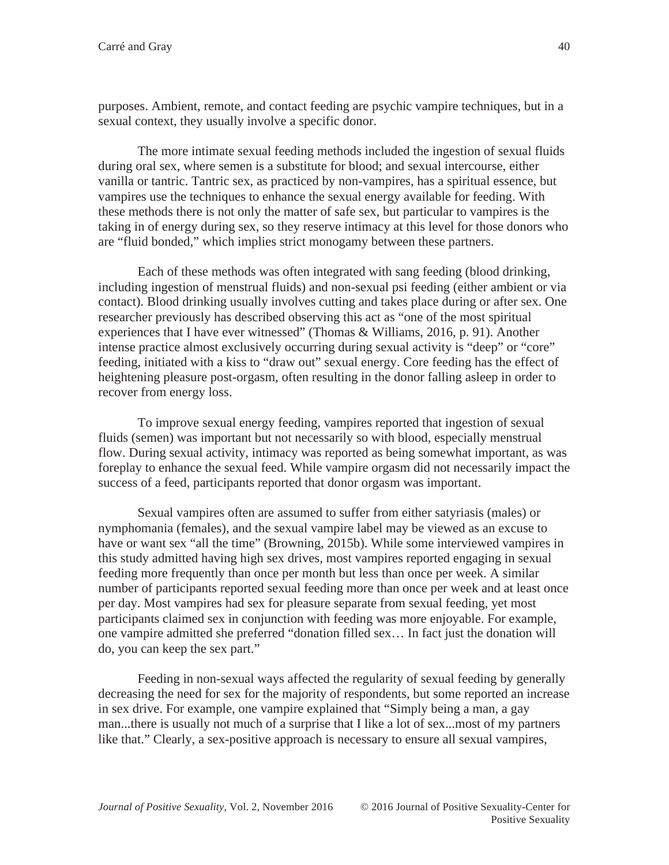purposes. Ambient, remote, and contact feeding are psychic vampire techniques, but in a sexual context, they usually involve a specific donor.

The more intimate sexual feeding methods included the ingestion of sexual fluids during oral sex, where semen is a substitute for blood; and sexual intercourse, either vanilla or tantric. Tantric sex, as practiced by non-vampires, has a spiritual essence, but vampires use the techniques to enhance the sexual energy available for feeding. With these methods there is not only the matter of safe sex, but particular to vampires is the taking in of energy during sex, so they reserve intimacy at this level for those donors who are "fluid bonded," which implies strict monogamy between these partners.

Each of these methods was often integrated with sang feeding (blood drinking, including ingestion of menstrual fluids) and non-sexual psi feeding (either ambient or via contact). Blood drinking usually involves cutting and takes place during or after sex. One researcher previously has described observing this act as "one of the most spiritual experiences that I have ever witnessed" (Thomas & Williams, 2016, p. 91). Another intense practice almost exclusively occurring during sexual activity is "deep" or "core" feeding, initiated with a kiss to "draw out" sexual energy. Core feeding has the effect of heightening pleasure post-orgasm, often resulting in the donor falling asleep in order to recover from energy loss.

To improve sexual energy feeding, vampires reported that ingestion of sexual fluids (semen) was important but not necessarily so with blood, especially menstrual flow. During sexual activity, intimacy was reported as being somewhat important, as was foreplay to enhance the sexual feed. While vampire orgasm did not necessarily impact the success of a feed, participants reported that donor orgasm was important.

Sexual vampires often are assumed to suffer from either satyriasis (males) or nymphomania (females), and the sexual vampire label may be viewed as an excuse to have or want sex "all the time" (Browning, 2015b). While some interviewed vampires in this study admitted having high sex drives, most vampires reported engaging in sexual feeding more frequently than once per month but less than once per week. A similar number of participants reported sexual feeding more than once per week and at least once per day. Most vampires had sex for pleasure separate from sexual feeding, yet most participants claimed sex in conjunction with feeding was more enjoyable. For example, one vampire admitted she preferred "donation filled sex… In fact just the donation will do, you can keep the sex part."

Feeding in non-sexual ways affected the regularity of sexual feeding by generally decreasing the need for sex for the majority of respondents, but some reported an increase in sex drive. For example, one vampire explained that "Simply being a man, a gay man...there is usually not much of a surprise that I like a lot of sex...most of my partners like that." Clearly, a sex-positive approach is necessary to ensure all sexual vampires,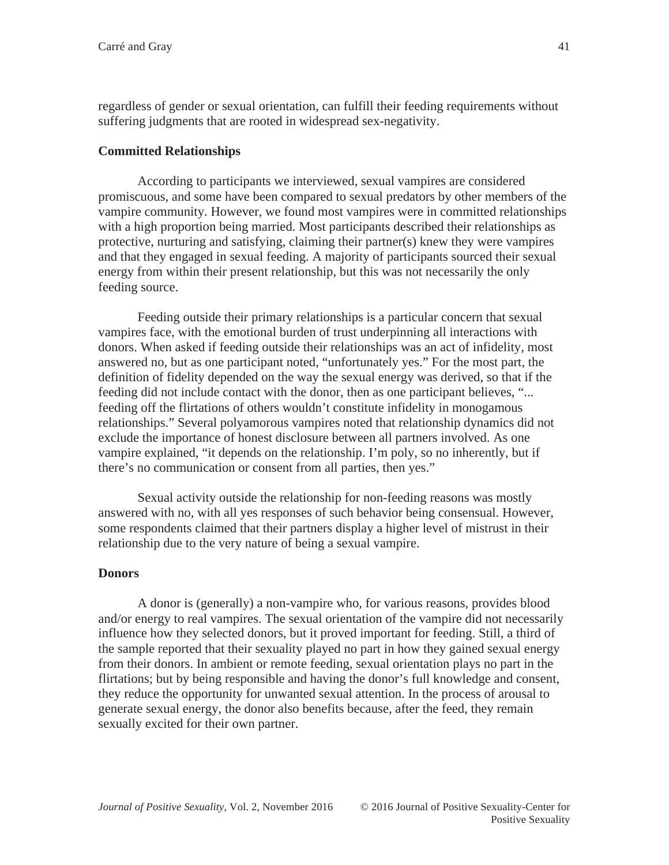regardless of gender or sexual orientation, can fulfill their feeding requirements without suffering judgments that are rooted in widespread sex-negativity.

# **Committed Relationships**

According to participants we interviewed, sexual vampires are considered promiscuous, and some have been compared to sexual predators by other members of the vampire community. However, we found most vampires were in committed relationships with a high proportion being married. Most participants described their relationships as protective, nurturing and satisfying, claiming their partner(s) knew they were vampires and that they engaged in sexual feeding. A majority of participants sourced their sexual energy from within their present relationship, but this was not necessarily the only feeding source.

Feeding outside their primary relationships is a particular concern that sexual vampires face, with the emotional burden of trust underpinning all interactions with donors. When asked if feeding outside their relationships was an act of infidelity, most answered no, but as one participant noted, "unfortunately yes." For the most part, the definition of fidelity depended on the way the sexual energy was derived, so that if the feeding did not include contact with the donor, then as one participant believes, "... feeding off the flirtations of others wouldn't constitute infidelity in monogamous relationships." Several polyamorous vampires noted that relationship dynamics did not exclude the importance of honest disclosure between all partners involved. As one vampire explained, "it depends on the relationship. I'm poly, so no inherently, but if there's no communication or consent from all parties, then yes."

Sexual activity outside the relationship for non-feeding reasons was mostly answered with no, with all yes responses of such behavior being consensual. However, some respondents claimed that their partners display a higher level of mistrust in their relationship due to the very nature of being a sexual vampire.

# **Donors**

A donor is (generally) a non-vampire who, for various reasons, provides blood and/or energy to real vampires. The sexual orientation of the vampire did not necessarily influence how they selected donors, but it proved important for feeding. Still, a third of the sample reported that their sexuality played no part in how they gained sexual energy from their donors. In ambient or remote feeding, sexual orientation plays no part in the flirtations; but by being responsible and having the donor's full knowledge and consent, they reduce the opportunity for unwanted sexual attention. In the process of arousal to generate sexual energy, the donor also benefits because, after the feed, they remain sexually excited for their own partner.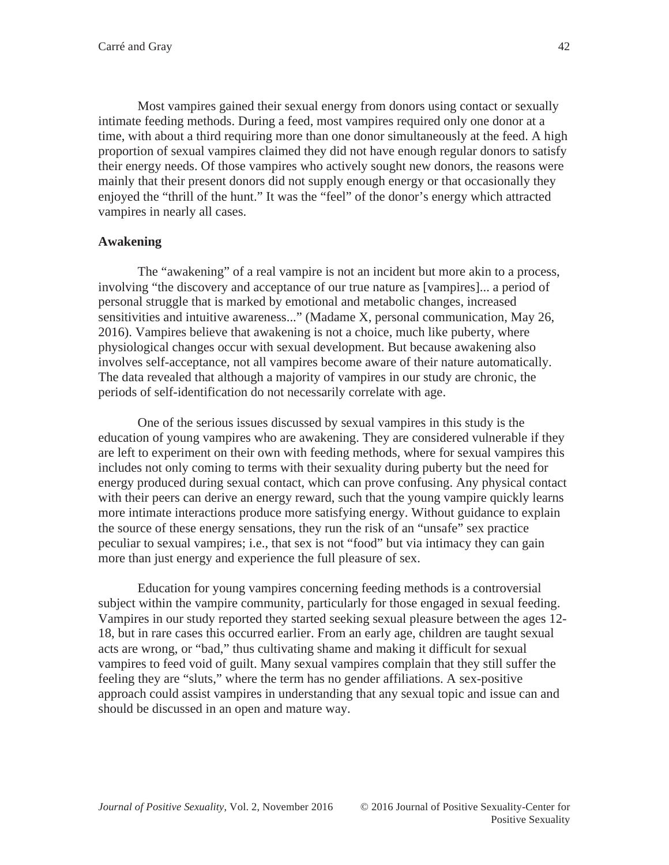Most vampires gained their sexual energy from donors using contact or sexually intimate feeding methods. During a feed, most vampires required only one donor at a time, with about a third requiring more than one donor simultaneously at the feed. A high proportion of sexual vampires claimed they did not have enough regular donors to satisfy their energy needs. Of those vampires who actively sought new donors, the reasons were mainly that their present donors did not supply enough energy or that occasionally they enjoyed the "thrill of the hunt." It was the "feel" of the donor's energy which attracted vampires in nearly all cases.

### **Awakening**

The "awakening" of a real vampire is not an incident but more akin to a process, involving "the discovery and acceptance of our true nature as [vampires]... a period of personal struggle that is marked by emotional and metabolic changes, increased sensitivities and intuitive awareness..." (Madame X, personal communication, May 26, 2016). Vampires believe that awakening is not a choice, much like puberty, where physiological changes occur with sexual development. But because awakening also involves self-acceptance, not all vampires become aware of their nature automatically. The data revealed that although a majority of vampires in our study are chronic, the periods of self-identification do not necessarily correlate with age.

One of the serious issues discussed by sexual vampires in this study is the education of young vampires who are awakening. They are considered vulnerable if they are left to experiment on their own with feeding methods, where for sexual vampires this includes not only coming to terms with their sexuality during puberty but the need for energy produced during sexual contact, which can prove confusing. Any physical contact with their peers can derive an energy reward, such that the young vampire quickly learns more intimate interactions produce more satisfying energy. Without guidance to explain the source of these energy sensations, they run the risk of an "unsafe" sex practice peculiar to sexual vampires; i.e., that sex is not "food" but via intimacy they can gain more than just energy and experience the full pleasure of sex.

Education for young vampires concerning feeding methods is a controversial subject within the vampire community, particularly for those engaged in sexual feeding. Vampires in our study reported they started seeking sexual pleasure between the ages 12- 18, but in rare cases this occurred earlier. From an early age, children are taught sexual acts are wrong, or "bad," thus cultivating shame and making it difficult for sexual vampires to feed void of guilt. Many sexual vampires complain that they still suffer the feeling they are "sluts," where the term has no gender affiliations. A sex-positive approach could assist vampires in understanding that any sexual topic and issue can and should be discussed in an open and mature way.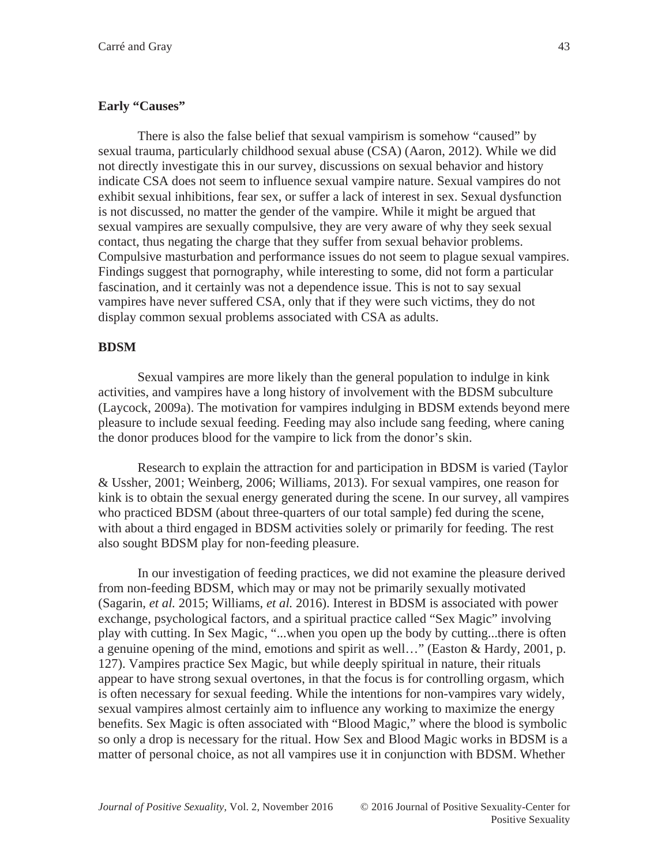### **Early "Causes"**

There is also the false belief that sexual vampirism is somehow "caused" by sexual trauma, particularly childhood sexual abuse (CSA) (Aaron, 2012). While we did not directly investigate this in our survey, discussions on sexual behavior and history indicate CSA does not seem to influence sexual vampire nature. Sexual vampires do not exhibit sexual inhibitions, fear sex, or suffer a lack of interest in sex. Sexual dysfunction is not discussed, no matter the gender of the vampire. While it might be argued that sexual vampires are sexually compulsive, they are very aware of why they seek sexual contact, thus negating the charge that they suffer from sexual behavior problems. Compulsive masturbation and performance issues do not seem to plague sexual vampires. Findings suggest that pornography, while interesting to some, did not form a particular fascination, and it certainly was not a dependence issue. This is not to say sexual vampires have never suffered CSA, only that if they were such victims, they do not display common sexual problems associated with CSA as adults.

### **BDSM**

Sexual vampires are more likely than the general population to indulge in kink activities, and vampires have a long history of involvement with the BDSM subculture (Laycock, 2009a). The motivation for vampires indulging in BDSM extends beyond mere pleasure to include sexual feeding. Feeding may also include sang feeding, where caning the donor produces blood for the vampire to lick from the donor's skin.

Research to explain the attraction for and participation in BDSM is varied (Taylor & Ussher, 2001; Weinberg, 2006; Williams, 2013). For sexual vampires, one reason for kink is to obtain the sexual energy generated during the scene. In our survey, all vampires who practiced BDSM (about three-quarters of our total sample) fed during the scene, with about a third engaged in BDSM activities solely or primarily for feeding. The rest also sought BDSM play for non-feeding pleasure.

In our investigation of feeding practices, we did not examine the pleasure derived from non-feeding BDSM, which may or may not be primarily sexually motivated (Sagarin, *et al.* 2015; Williams, *et al.* 2016). Interest in BDSM is associated with power exchange, psychological factors, and a spiritual practice called "Sex Magic" involving play with cutting. In Sex Magic, "...when you open up the body by cutting...there is often a genuine opening of the mind, emotions and spirit as well…" (Easton & Hardy, 2001, p. 127). Vampires practice Sex Magic, but while deeply spiritual in nature, their rituals appear to have strong sexual overtones, in that the focus is for controlling orgasm, which is often necessary for sexual feeding. While the intentions for non-vampires vary widely, sexual vampires almost certainly aim to influence any working to maximize the energy benefits. Sex Magic is often associated with "Blood Magic," where the blood is symbolic so only a drop is necessary for the ritual. How Sex and Blood Magic works in BDSM is a matter of personal choice, as not all vampires use it in conjunction with BDSM. Whether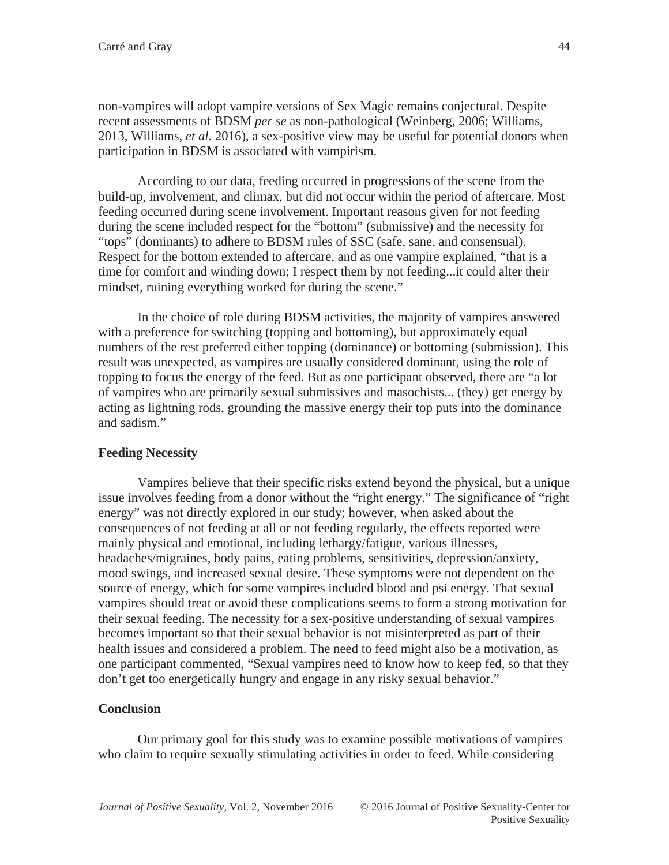non-vampires will adopt vampire versions of Sex Magic remains conjectural. Despite recent assessments of BDSM *per se* as non-pathological (Weinberg, 2006; Williams, 2013, Williams, *et al.* 2016), a sex-positive view may be useful for potential donors when participation in BDSM is associated with vampirism.

According to our data, feeding occurred in progressions of the scene from the build-up, involvement, and climax, but did not occur within the period of aftercare. Most feeding occurred during scene involvement. Important reasons given for not feeding during the scene included respect for the "bottom" (submissive) and the necessity for "tops" (dominants) to adhere to BDSM rules of SSC (safe, sane, and consensual). Respect for the bottom extended to aftercare, and as one vampire explained, "that is a time for comfort and winding down; I respect them by not feeding...it could alter their mindset, ruining everything worked for during the scene."

In the choice of role during BDSM activities, the majority of vampires answered with a preference for switching (topping and bottoming), but approximately equal numbers of the rest preferred either topping (dominance) or bottoming (submission). This result was unexpected, as vampires are usually considered dominant, using the role of topping to focus the energy of the feed. But as one participant observed, there are "a lot of vampires who are primarily sexual submissives and masochists... (they) get energy by acting as lightning rods, grounding the massive energy their top puts into the dominance and sadism."

# **Feeding Necessity**

Vampires believe that their specific risks extend beyond the physical, but a unique issue involves feeding from a donor without the "right energy." The significance of "right energy" was not directly explored in our study; however, when asked about the consequences of not feeding at all or not feeding regularly, the effects reported were mainly physical and emotional, including lethargy/fatigue, various illnesses, headaches/migraines, body pains, eating problems, sensitivities, depression/anxiety, mood swings, and increased sexual desire. These symptoms were not dependent on the source of energy, which for some vampires included blood and psi energy. That sexual vampires should treat or avoid these complications seems to form a strong motivation for their sexual feeding. The necessity for a sex-positive understanding of sexual vampires becomes important so that their sexual behavior is not misinterpreted as part of their health issues and considered a problem. The need to feed might also be a motivation, as one participant commented, "Sexual vampires need to know how to keep fed, so that they don't get too energetically hungry and engage in any risky sexual behavior."

# **Conclusion**

 Our primary goal for this study was to examine possible motivations of vampires who claim to require sexually stimulating activities in order to feed. While considering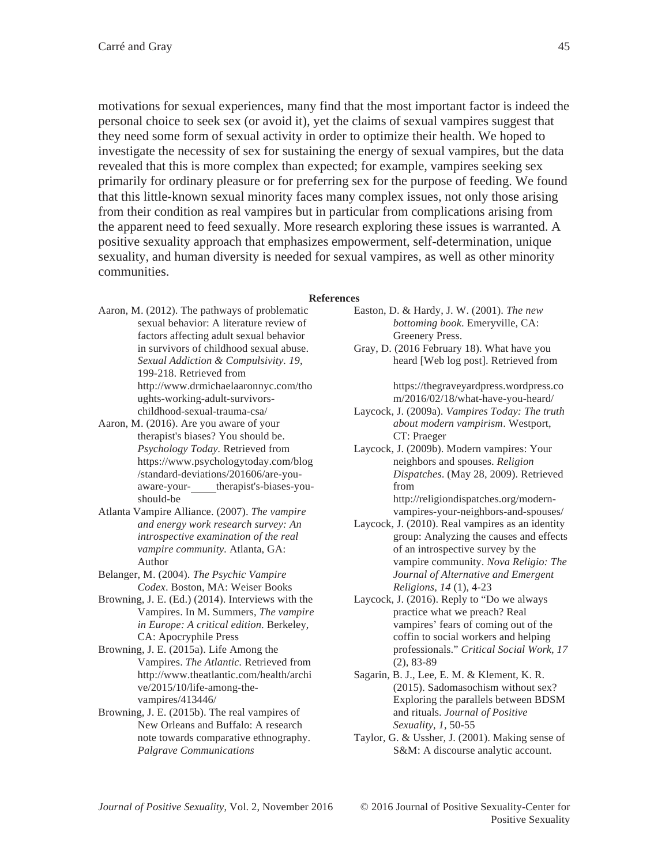motivations for sexual experiences, many find that the most important factor is indeed the personal choice to seek sex (or avoid it), yet the claims of sexual vampires suggest that they need some form of sexual activity in order to optimize their health. We hoped to investigate the necessity of sex for sustaining the energy of sexual vampires, but the data revealed that this is more complex than expected; for example, vampires seeking sex primarily for ordinary pleasure or for preferring sex for the purpose of feeding. We found that this little-known sexual minority faces many complex issues, not only those arising from their condition as real vampires but in particular from complications arising from the apparent need to feed sexually. More research exploring these issues is warranted. A positive sexuality approach that emphasizes empowerment, self-determination, unique sexuality, and human diversity is needed for sexual vampires, as well as other minority communities.

#### **References**

- Aaron, M. (2012). The pathways of problematic sexual behavior: A literature review of factors affecting adult sexual behavior in survivors of childhood sexual abuse. *Sexual Addiction & Compulsivity. 19*, 199-218. Retrieved from http://www.drmichaelaaronnyc.com/tho ughts-working-adult-survivorschildhood-sexual-trauma-csa/
- Aaron, M. (2016). Are you aware of your therapist's biases? You should be. *Psychology Today.* Retrieved from https://www.psychologytoday.com/blog /standard-deviations/201606/are-youaware-your- therapist's-biases-youshould-be
- Atlanta Vampire Alliance. (2007). *The vampire and energy work research survey: An introspective examination of the real vampire community.* Atlanta, GA: Author
- Belanger, M. (2004). *The Psychic Vampire Codex*. Boston, MA: Weiser Books
- Browning, J. E. (Ed.) (2014). Interviews with the Vampires. In M. Summers, *The vampire in Europe: A critical edition*. Berkeley, CA: Apocryphile Press
- Browning, J. E. (2015a). Life Among the Vampires. *The Atlantic.* Retrieved from http://www.theatlantic.com/health/archi ve/2015/10/life-among-thevampires/413446/
- Browning, J. E. (2015b). The real vampires of New Orleans and Buffalo: A research note towards comparative ethnography. *Palgrave Communications*
- Easton, D. & Hardy, J. W. (2001). *The new bottoming book*. Emeryville, CA: Greenery Press.
- Gray, D. (2016 February 18). What have you heard [Web log post]. Retrieved from

https://thegraveyardpress.wordpress.co m/2016/02/18/what-have-you-heard/

- Laycock, J. (2009a). *Vampires Today: The truth about modern vampirism*. Westport, CT: Praeger
- Laycock, J. (2009b). Modern vampires: Your neighbors and spouses. *Religion Dispatches*. (May 28, 2009). Retrieved from

http://religiondispatches.org/modernvampires-your-neighbors-and-spouses/

- Laycock, J. (2010). Real vampires as an identity group: Analyzing the causes and effects of an introspective survey by the vampire community. *Nova Religio: The Journal of Alternative and Emergent Religions*, *14* (1), 4-23
- Laycock, J. (2016). Reply to "Do we always practice what we preach? Real vampires' fears of coming out of the coffin to social workers and helping professionals." *Critical Social Work, 17* (2)*,* 83-89
- Sagarin, B. J., Lee, E. M. & Klement, K. R. (2015). Sadomasochism without sex? Exploring the parallels between BDSM and rituals. *Journal of Positive Sexuality, 1,* 50-55
- Taylor, G. & Ussher, J. (2001). Making sense of S&M: A discourse analytic account.